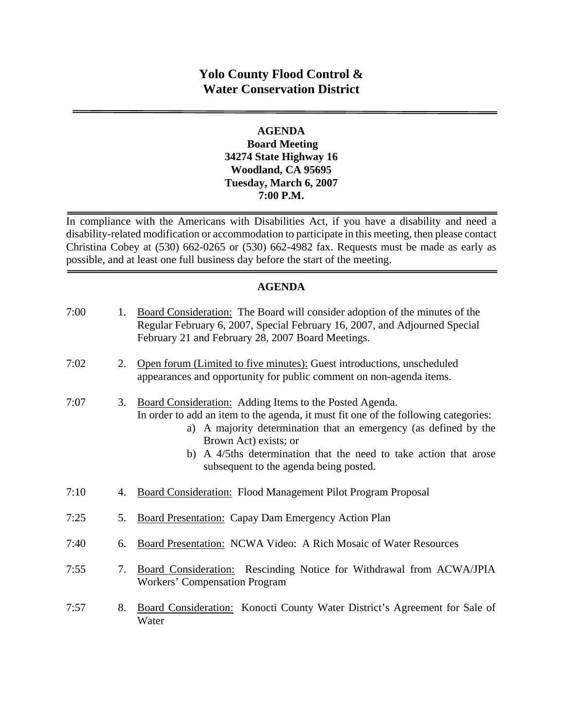## **Yolo County Flood Control & Water Conservation District**

## **AGENDA Board Meeting 34274 State Highway 16 Woodland, CA 95695 Tuesday, March 6, 2007 7:00 P.M.**

In compliance with the Americans with Disabilities Act, if you have a disability and need a disability-related modification or accommodation to participate in this meeting, then please contact Christina Cobey at (530) 662-0265 or (530) 662-4982 fax. Requests must be made as early as possible, and at least one full business day before the start of the meeting.

## **AGENDA**

| 7:00 | 1. | Board Consideration: The Board will consider adoption of the minutes of the<br>Regular February 6, 2007, Special February 16, 2007, and Adjourned Special<br>February 21 and February 28, 2007 Board Meetings.                                                                                                                                             |
|------|----|------------------------------------------------------------------------------------------------------------------------------------------------------------------------------------------------------------------------------------------------------------------------------------------------------------------------------------------------------------|
| 7:02 | 2. | Open forum (Limited to five minutes): Guest introductions, unscheduled<br>appearances and opportunity for public comment on non-agenda items.                                                                                                                                                                                                              |
| 7:07 | 3. | Board Consideration: Adding Items to the Posted Agenda.<br>In order to add an item to the agenda, it must fit one of the following categories:<br>a) A majority determination that an emergency (as defined by the<br>Brown Act) exists; or<br>b) A 4/5ths determination that the need to take action that arose<br>subsequent to the agenda being posted. |
| 7:10 | 4. | Board Consideration: Flood Management Pilot Program Proposal                                                                                                                                                                                                                                                                                               |
| 7:25 | 5. | <b>Board Presentation: Capay Dam Emergency Action Plan</b>                                                                                                                                                                                                                                                                                                 |
| 7:40 | 6. | <b>Board Presentation: NCWA Video: A Rich Mosaic of Water Resources</b>                                                                                                                                                                                                                                                                                    |
| 7:55 | 7. | Board Consideration: Rescinding Notice for Withdrawal from ACWA/JPIA<br><b>Workers' Compensation Program</b>                                                                                                                                                                                                                                               |
| 7:57 | 8. | Board Consideration: Konocti County Water District's Agreement for Sale of<br>Water                                                                                                                                                                                                                                                                        |